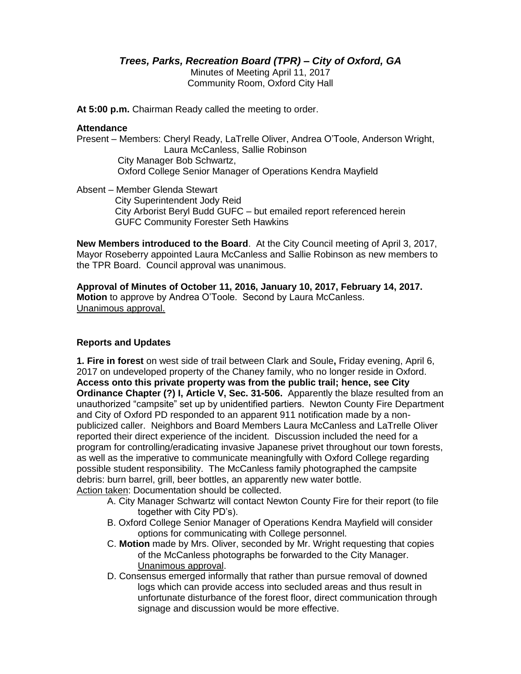# *Trees, Parks, Recreation Board (TPR) – City of Oxford, GA*

Minutes of Meeting April 11, 2017 Community Room, Oxford City Hall

**At 5:00 p.m.** Chairman Ready called the meeting to order.

#### **Attendance**

Present – Members: Cheryl Ready, LaTrelle Oliver, Andrea O'Toole, Anderson Wright, Laura McCanless, Sallie Robinson City Manager Bob Schwartz, Oxford College Senior Manager of Operations Kendra Mayfield

Absent – Member Glenda Stewart City Superintendent Jody Reid City Arborist Beryl Budd GUFC – but emailed report referenced herein GUFC Community Forester Seth Hawkins

**New Members introduced to the Board**. At the City Council meeting of April 3, 2017, Mayor Roseberry appointed Laura McCanless and Sallie Robinson as new members to the TPR Board. Council approval was unanimous.

**Approval of Minutes of October 11, 2016, January 10, 2017, February 14, 2017. Motion** to approve by Andrea O'Toole. Second by Laura McCanless. Unanimous approval.

# **Reports and Updates**

**1. Fire in forest** on west side of trail between Clark and Soule**,** Friday evening, April 6, 2017 on undeveloped property of the Chaney family, who no longer reside in Oxford. **Access onto this private property was from the public trail; hence, see City Ordinance Chapter (?) I, Article V, Sec. 31-506.** Apparently the blaze resulted from an unauthorized "campsite" set up by unidentified partiers. Newton County Fire Department and City of Oxford PD responded to an apparent 911 notification made by a nonpublicized caller. Neighbors and Board Members Laura McCanless and LaTrelle Oliver reported their direct experience of the incident. Discussion included the need for a program for controlling/eradicating invasive Japanese privet throughout our town forests, as well as the imperative to communicate meaningfully with Oxford College regarding possible student responsibility. The McCanless family photographed the campsite debris: burn barrel, grill, beer bottles, an apparently new water bottle. Action taken: Documentation should be collected.

- A. City Manager Schwartz will contact Newton County Fire for their report (to file together with City PD's).
- B. Oxford College Senior Manager of Operations Kendra Mayfield will consider options for communicating with College personnel.
- C. **Motion** made by Mrs. Oliver, seconded by Mr. Wright requesting that copies of the McCanless photographs be forwarded to the City Manager. Unanimous approval.
- D. Consensus emerged informally that rather than pursue removal of downed logs which can provide access into secluded areas and thus result in unfortunate disturbance of the forest floor, direct communication through signage and discussion would be more effective.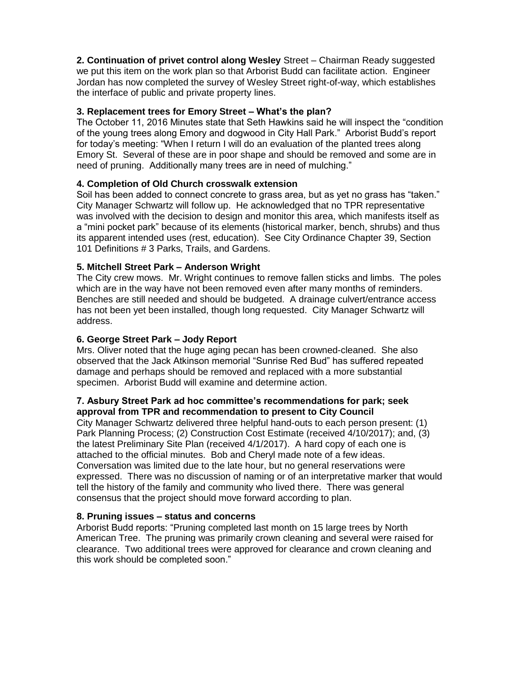**2. Continuation of privet control along Wesley** Street – Chairman Ready suggested we put this item on the work plan so that Arborist Budd can facilitate action. Engineer Jordan has now completed the survey of Wesley Street right-of-way, which establishes the interface of public and private property lines.

## **3. Replacement trees for Emory Street – What's the plan?**

The October 11, 2016 Minutes state that Seth Hawkins said he will inspect the "condition of the young trees along Emory and dogwood in City Hall Park." Arborist Budd's report for today's meeting: "When I return I will do an evaluation of the planted trees along Emory St. Several of these are in poor shape and should be removed and some are in need of pruning. Additionally many trees are in need of mulching."

### **4. Completion of Old Church crosswalk extension**

Soil has been added to connect concrete to grass area, but as yet no grass has "taken." City Manager Schwartz will follow up. He acknowledged that no TPR representative was involved with the decision to design and monitor this area, which manifests itself as a "mini pocket park" because of its elements (historical marker, bench, shrubs) and thus its apparent intended uses (rest, education). See City Ordinance Chapter 39, Section 101 Definitions # 3 Parks, Trails, and Gardens.

### **5. Mitchell Street Park – Anderson Wright**

The City crew mows. Mr. Wright continues to remove fallen sticks and limbs. The poles which are in the way have not been removed even after many months of reminders. Benches are still needed and should be budgeted. A drainage culvert/entrance access has not been yet been installed, though long requested. City Manager Schwartz will address.

## **6. George Street Park – Jody Report**

Mrs. Oliver noted that the huge aging pecan has been crowned-cleaned. She also observed that the Jack Atkinson memorial "Sunrise Red Bud" has suffered repeated damage and perhaps should be removed and replaced with a more substantial specimen. Arborist Budd will examine and determine action.

# **7. Asbury Street Park ad hoc committee's recommendations for park; seek approval from TPR and recommendation to present to City Council**

City Manager Schwartz delivered three helpful hand-outs to each person present: (1) Park Planning Process; (2) Construction Cost Estimate (received 4/10/2017); and, (3) the latest Preliminary Site Plan (received 4/1/2017). A hard copy of each one is attached to the official minutes. Bob and Cheryl made note of a few ideas. Conversation was limited due to the late hour, but no general reservations were expressed. There was no discussion of naming or of an interpretative marker that would tell the history of the family and community who lived there. There was general consensus that the project should move forward according to plan.

#### **8. Pruning issues – status and concerns**

Arborist Budd reports: "Pruning completed last month on 15 large trees by North American Tree. The pruning was primarily crown cleaning and several were raised for clearance. Two additional trees were approved for clearance and crown cleaning and this work should be completed soon."